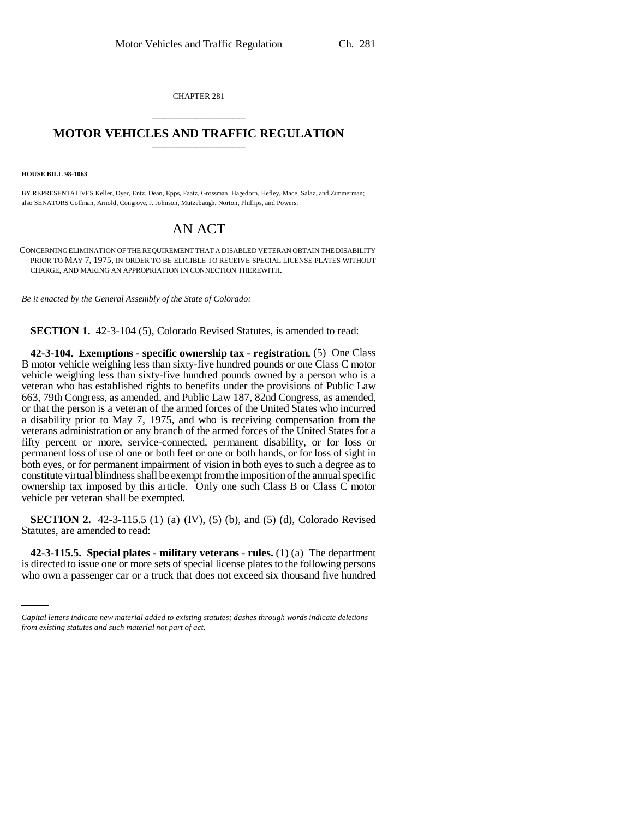CHAPTER 281 \_\_\_\_\_\_\_\_\_\_\_\_\_\_\_

## **MOTOR VEHICLES AND TRAFFIC REGULATION** \_\_\_\_\_\_\_\_\_\_\_\_\_\_\_

**HOUSE BILL 98-1063**

BY REPRESENTATIVES Keller, Dyer, Entz, Dean, Epps, Faatz, Grossman, Hagedorn, Hefley, Mace, Salaz, and Zimmerman; also SENATORS Coffman, Arnold, Congrove, J. Johnson, Mutzebaugh, Norton, Phillips, and Powers.

## AN ACT

CONCERNING ELIMINATION OF THE REQUIREMENT THAT A DISABLED VETERAN OBTAIN THE DISABILITY PRIOR TO MAY 7, 1975, IN ORDER TO BE ELIGIBLE TO RECEIVE SPECIAL LICENSE PLATES WITHOUT CHARGE, AND MAKING AN APPROPRIATION IN CONNECTION THEREWITH.

*Be it enacted by the General Assembly of the State of Colorado:*

**SECTION 1.** 42-3-104 (5), Colorado Revised Statutes, is amended to read:

**42-3-104. Exemptions - specific ownership tax - registration.** (5) One Class B motor vehicle weighing less than sixty-five hundred pounds or one Class C motor vehicle weighing less than sixty-five hundred pounds owned by a person who is a veteran who has established rights to benefits under the provisions of Public Law 663, 79th Congress, as amended, and Public Law 187, 82nd Congress, as amended, or that the person is a veteran of the armed forces of the United States who incurred a disability prior to May 7, 1975, and who is receiving compensation from the veterans administration or any branch of the armed forces of the United States for a fifty percent or more, service-connected, permanent disability, or for loss or permanent loss of use of one or both feet or one or both hands, or for loss of sight in both eyes, or for permanent impairment of vision in both eyes to such a degree as to constitute virtual blindness shall be exempt from the imposition of the annual specific ownership tax imposed by this article. Only one such Class B or Class C motor vehicle per veteran shall be exempted.

**SECTION 2.** 42-3-115.5 (1) (a) (IV), (5) (b), and (5) (d), Colorado Revised Statutes, are amended to read:

 **42-3-115.5. Special plates - military veterans - rules.** (1) (a) The department is directed to issue one or more sets of special license plates to the following persons who own a passenger car or a truck that does not exceed six thousand five hundred

*Capital letters indicate new material added to existing statutes; dashes through words indicate deletions from existing statutes and such material not part of act.*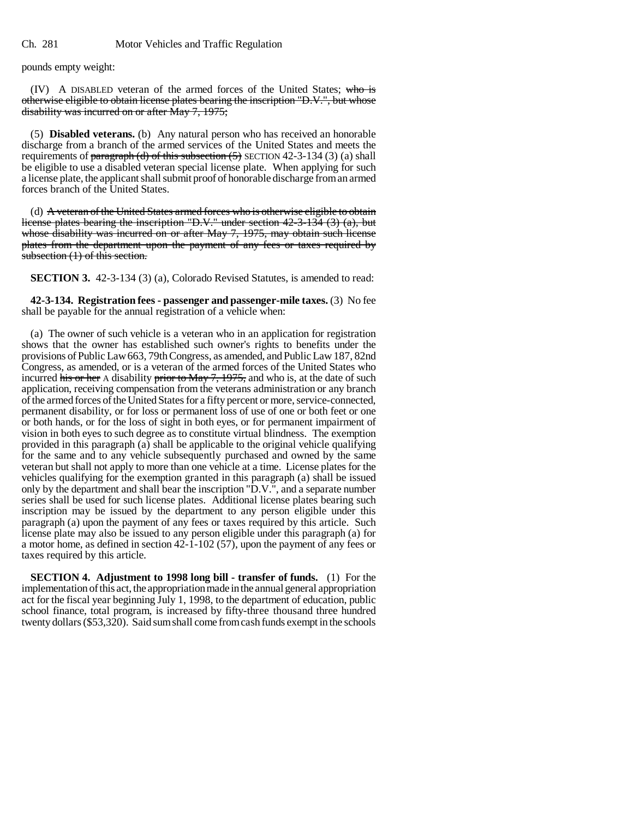pounds empty weight:

(IV) A DISABLED veteran of the armed forces of the United States; who is otherwise eligible to obtain license plates bearing the inscription "D.V.", but whose disability was incurred on or after May 7, 1975;

(5) **Disabled veterans.** (b) Any natural person who has received an honorable discharge from a branch of the armed services of the United States and meets the requirements of  $\frac{\text{parameter of}}{\text{gradient}}$  (d) of this subsection (5) SECTION 42-3-134 (3) (a) shall be eligible to use a disabled veteran special license plate. When applying for such a license plate, the applicant shall submit proof of honorable discharge from an armed forces branch of the United States.

(d) A veteran of the United States armed forces who is otherwise eligible to obtain license plates bearing the inscription "D.V." under section 42-3-134 (3) (a), but whose disability was incurred on or after May 7, 1975, may obtain such license plates from the department upon the payment of any fees or taxes required by subsection (1) of this section.

**SECTION 3.** 42-3-134 (3) (a), Colorado Revised Statutes, is amended to read:

**42-3-134. Registration fees - passenger and passenger-mile taxes.** (3) No fee shall be payable for the annual registration of a vehicle when:

(a) The owner of such vehicle is a veteran who in an application for registration shows that the owner has established such owner's rights to benefits under the provisions of Public Law 663, 79th Congress, as amended, and Public Law 187, 82nd Congress, as amended, or is a veteran of the armed forces of the United States who incurred his or her A disability prior to May 7, 1975, and who is, at the date of such application, receiving compensation from the veterans administration or any branch of the armed forces of the United States for a fifty percent or more, service-connected, permanent disability, or for loss or permanent loss of use of one or both feet or one or both hands, or for the loss of sight in both eyes, or for permanent impairment of vision in both eyes to such degree as to constitute virtual blindness. The exemption provided in this paragraph (a) shall be applicable to the original vehicle qualifying for the same and to any vehicle subsequently purchased and owned by the same veteran but shall not apply to more than one vehicle at a time. License plates for the vehicles qualifying for the exemption granted in this paragraph (a) shall be issued only by the department and shall bear the inscription "D.V.", and a separate number series shall be used for such license plates. Additional license plates bearing such inscription may be issued by the department to any person eligible under this paragraph (a) upon the payment of any fees or taxes required by this article. Such license plate may also be issued to any person eligible under this paragraph (a) for a motor home, as defined in section 42-1-102 (57), upon the payment of any fees or taxes required by this article.

**SECTION 4. Adjustment to 1998 long bill - transfer of funds.** (1) For the implementation of this act, the appropriation made in the annual general appropriation act for the fiscal year beginning July 1, 1998, to the department of education, public school finance, total program, is increased by fifty-three thousand three hundred twenty dollars (\$53,320). Said sum shall come from cash funds exempt in the schools